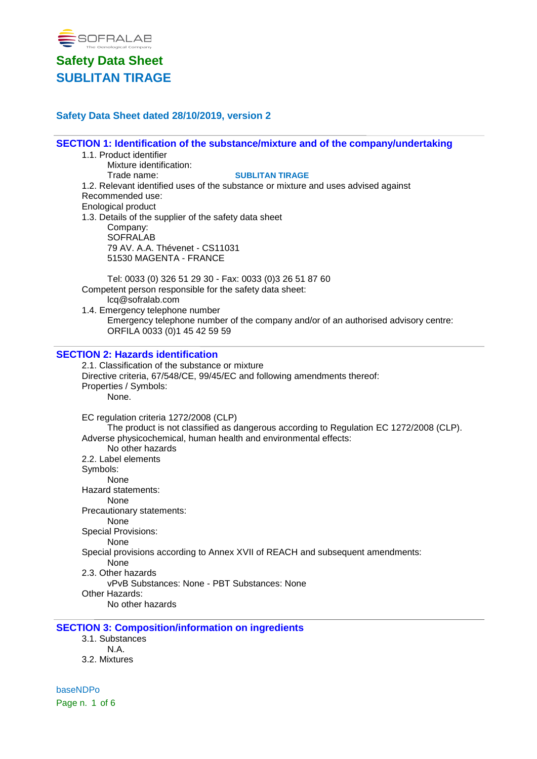

## **Safety Data Sheet dated 28/10/2019, version 2**

## **SECTION 1: Identification of the substance/mixture and of the company/undertaking**

- 1.1. Product identifier
	- Mixture identification:

Trade name: **SUBLITAN TIRAGE**

1.2. Relevant identified uses of the substance or mixture and uses advised against Recommended use:

Enological product

1.3. Details of the supplier of the safety data sheet Company: **SOFRALAB** 79 AV. A.A. Thévenet - CS11031 51530 MAGENTA - FRANCE

Tel: 0033 (0) 326 51 29 30 - Fax: 0033 (0)3 26 51 87 60 Competent person responsible for the safety data sheet: lcq@sofralab.com

1.4. Emergency telephone number Emergency telephone number of the company and/or of an authorised advisory centre: ORFILA 0033 (0)1 45 42 59 59

#### **SECTION 2: Hazards identification**

2.1. Classification of the substance or mixture Directive criteria, 67/548/CE, 99/45/EC and following amendments thereof: Properties / Symbols: None. EC regulation criteria 1272/2008 (CLP) The product is not classified as dangerous according to Regulation EC 1272/2008 (CLP). Adverse physicochemical, human health and environmental effects: No other hazards 2.2. Label elements Symbols: None Hazard statements: None Precautionary statements: None Special Provisions: None Special provisions according to Annex XVII of REACH and subsequent amendments: None 2.3. Other hazards vPvB Substances: None - PBT Substances: None

Other Hazards:

No other hazards

### **SECTION 3: Composition/information on ingredients**

3.1. Substances N.A. 3.2. Mixtures

baseNDPo Page n. 1 of 6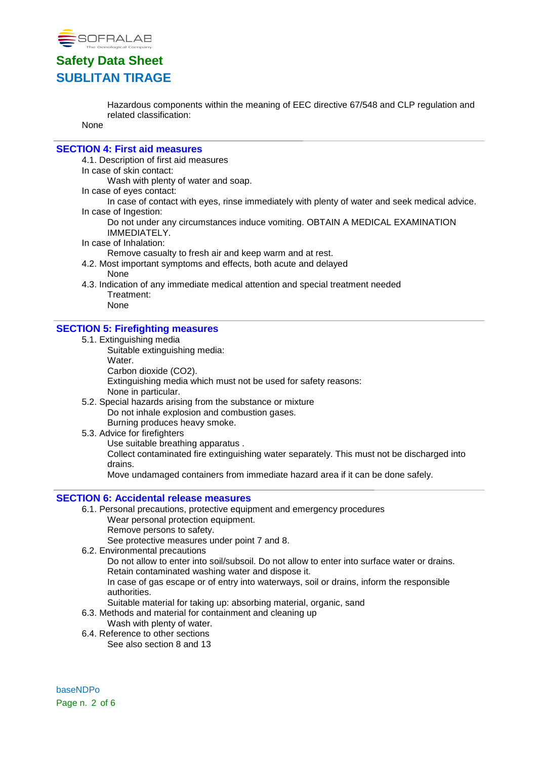

Hazardous components within the meaning of EEC directive 67/548 and CLP regulation and related classification:

None

#### **SECTION 4: First aid measures**

4.1. Description of first aid measures

In case of skin contact:

Wash with plenty of water and soap.

In case of eyes contact:

In case of contact with eyes, rinse immediately with plenty of water and seek medical advice. In case of Ingestion:

Do not under any circumstances induce vomiting. OBTAIN A MEDICAL EXAMINATION IMMEDIATELY.

In case of Inhalation:

Remove casualty to fresh air and keep warm and at rest.

- 4.2. Most important symptoms and effects, both acute and delayed None
- 4.3. Indication of any immediate medical attention and special treatment needed Treatment:

None

#### **SECTION 5: Firefighting measures**

- 5.1. Extinguishing media
	- Suitable extinguishing media: Water. Carbon dioxide (CO2).

Extinguishing media which must not be used for safety reasons: None in particular.

- 5.2. Special hazards arising from the substance or mixture Do not inhale explosion and combustion gases. Burning produces heavy smoke.
- 5.3. Advice for firefighters Use suitable breathing apparatus .

Collect contaminated fire extinguishing water separately. This must not be discharged into drains.

Move undamaged containers from immediate hazard area if it can be done safely.

### **SECTION 6: Accidental release measures**

- 6.1. Personal precautions, protective equipment and emergency procedures Wear personal protection equipment.
	- Remove persons to safety.

See protective measures under point 7 and 8.

6.2. Environmental precautions

Do not allow to enter into soil/subsoil. Do not allow to enter into surface water or drains. Retain contaminated washing water and dispose it.

In case of gas escape or of entry into waterways, soil or drains, inform the responsible authorities.

- Suitable material for taking up: absorbing material, organic, sand
- 6.3. Methods and material for containment and cleaning up
	- Wash with plenty of water.
- 6.4. Reference to other sections See also section 8 and 13

baseNDPo Page n. 2 of 6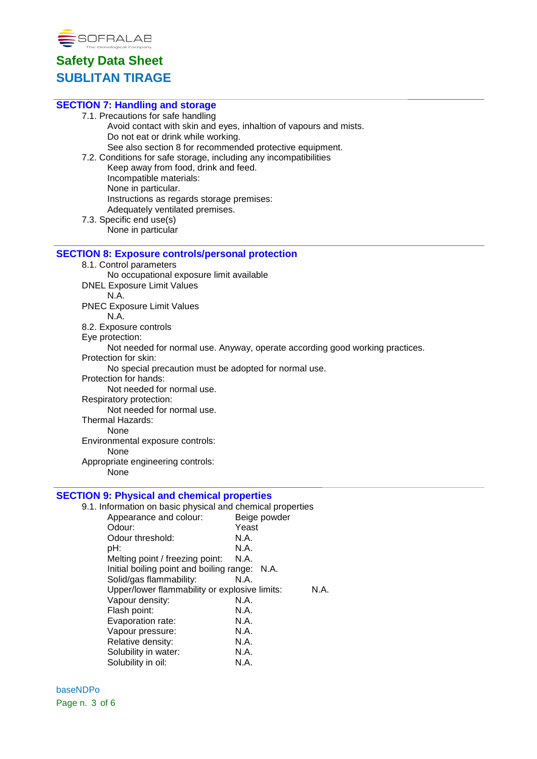

| <b>SECTION 7: Handling and storage</b>                                       |
|------------------------------------------------------------------------------|
| 7.1. Precautions for safe handling                                           |
| Avoid contact with skin and eyes, inhaltion of vapours and mists.            |
| Do not eat or drink while working.                                           |
| See also section 8 for recommended protective equipment.                     |
| 7.2. Conditions for safe storage, including any incompatibilities            |
| Keep away from food, drink and feed.                                         |
| Incompatible materials:                                                      |
| None in particular.                                                          |
| Instructions as regards storage premises:                                    |
| Adequately ventilated premises.                                              |
| 7.3. Specific end use(s)                                                     |
| None in particular                                                           |
| <b>SECTION 8: Exposure controls/personal protection</b>                      |
| 8.1. Control parameters                                                      |
| No occupational exposure limit available                                     |
| <b>DNEL Exposure Limit Values</b>                                            |
| N.A.                                                                         |
| <b>PNEC Exposure Limit Values</b>                                            |
| N.A.                                                                         |
| 8.2. Exposure controls                                                       |
| Eye protection:                                                              |
| Not needed for normal use. Anyway, operate according good working practices. |
| Protection for skin:                                                         |
| No special precaution must be adopted for normal use.                        |
| Protection for hands:                                                        |
| Not needed for normal use.                                                   |
| Respiratory protection:                                                      |
| Not needed for normal use.                                                   |
| <b>Thermal Hazards:</b>                                                      |
| <b>None</b>                                                                  |
| Environmental exposure controls:                                             |
| None                                                                         |
| Appropriate engineering controls:                                            |
| None                                                                         |
| <b>SECTION 9: Physical and chemical properties</b>                           |
| 9.1. Information on basic physical and chemical properties                   |
|                                                                              |

| <u>INTOITIGEOIT ON DASIG PHYSICAL AND CHENICAL PROPERTIES</u> |              |
|---------------------------------------------------------------|--------------|
| Appearance and colour:                                        | Beige powder |
| Odour:                                                        | Yeast        |
| Odour threshold:                                              | N.A.         |
| pH:                                                           | N.A.         |
| Melting point / freezing point:                               | N.A.         |
| Initial boiling point and boiling range: N.A.                 |              |
| Solid/gas flammability:                                       | N.A.         |
| Upper/lower flammability or explosive limits:                 | N.A.         |
| Vapour density:                                               | N.A.         |
| Flash point:                                                  | N.A.         |
| Evaporation rate:                                             | N.A.         |
| Vapour pressure:                                              | N.A.         |
| Relative density:                                             | N.A.         |
| Solubility in water:                                          | N.A.         |
| Solubility in oil:                                            | N.A.         |
|                                                               |              |

baseNDPo Page n. 3 of 6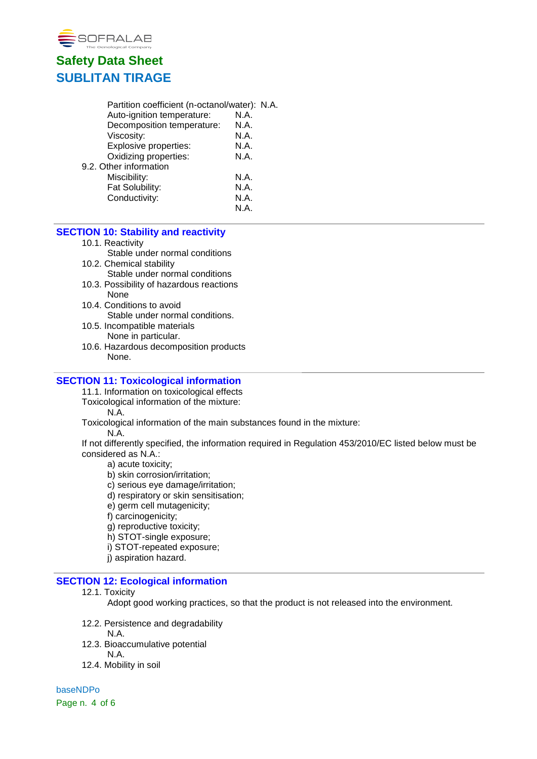

| Partition coefficient (n-octanol/water): N.A. |  |
|-----------------------------------------------|--|
| N.A.                                          |  |
| N.A.                                          |  |
| N.A.                                          |  |
| N.A.                                          |  |
| N.A.                                          |  |
|                                               |  |
| N.A.                                          |  |
| N.A.                                          |  |
| N.A.                                          |  |
| N.A.                                          |  |
|                                               |  |

## **SECTION 10: Stability and reactivity**

10.1. Reactivity

Stable under normal conditions

- 10.2. Chemical stability
	- Stable under normal conditions
- 10.3. Possibility of hazardous reactions None
- 10.4. Conditions to avoid Stable under normal conditions.
- 10.5. Incompatible materials None in particular.
- 10.6. Hazardous decomposition products None.

#### **SECTION 11: Toxicological information**

11.1. Information on toxicological effects

Toxicological information of the mixture:

N.A.

Toxicological information of the main substances found in the mixture:

N.A.

If not differently specified, the information required in Regulation 453/2010/EC listed below must be considered as N.A.:

a) acute toxicity;

b) skin corrosion/irritation;

c) serious eye damage/irritation;

- d) respiratory or skin sensitisation;
- e) germ cell mutagenicity;

f) carcinogenicity;

g) reproductive toxicity;

h) STOT-single exposure;

i) STOT-repeated exposure;

j) aspiration hazard.

## **SECTION 12: Ecological information**

#### 12.1. Toxicity

Adopt good working practices, so that the product is not released into the environment.

- 12.2. Persistence and degradability
	- N.A.
- 12.3. Bioaccumulative potential
	- N.A.
- 12.4. Mobility in soil

baseNDPo Page n. 4 of 6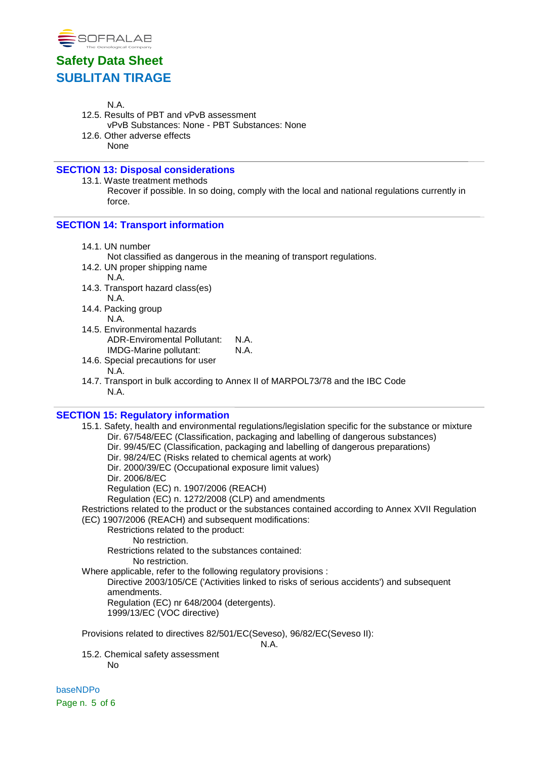

N.A.

- 12.5. Results of PBT and vPvB assessment vPvB Substances: None - PBT Substances: None
- 12.6. Other adverse effects None

## **SECTION 13: Disposal considerations**

13.1. Waste treatment methods Recover if possible. In so doing, comply with the local and national regulations currently in force.

### **SECTION 14: Transport information**

14.1. UN number

Not classified as dangerous in the meaning of transport regulations.

- 14.2. UN proper shipping name N.A.
- 14.3. Transport hazard class(es) N.A.
- 14.4. Packing group N.A.
- 14.5. Environmental hazards ADR-Enviromental Pollutant: N.A.<br>IMDG-Marine pollutant: N.A. IMDG-Marine pollutant:
- 14.6. Special precautions for user N.A.
- 14.7. Transport in bulk according to Annex II of MARPOL73/78 and the IBC Code N.A.

### **SECTION 15: Regulatory information**

15.1. Safety, health and environmental regulations/legislation specific for the substance or mixture Dir. 67/548/EEC (Classification, packaging and labelling of dangerous substances) Dir. 99/45/EC (Classification, packaging and labelling of dangerous preparations) Dir. 98/24/EC (Risks related to chemical agents at work) Dir. 2000/39/EC (Occupational exposure limit values) Dir. 2006/8/EC Regulation (EC) n. 1907/2006 (REACH) Regulation (EC) n. 1272/2008 (CLP) and amendments Restrictions related to the product or the substances contained according to Annex XVII Regulation (EC) 1907/2006 (REACH) and subsequent modifications: Restrictions related to the product: No restriction. Restrictions related to the substances contained: No restriction. Where applicable, refer to the following regulatory provisions : Directive 2003/105/CE ('Activities linked to risks of serious accidents') and subsequent amendments. Regulation (EC) nr 648/2004 (detergents). 1999/13/EC (VOC directive)

Provisions related to directives 82/501/EC(Seveso), 96/82/EC(Seveso II):

N.A.

15.2. Chemical safety assessment No

baseNDPo Page n. 5 of 6